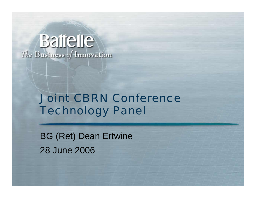# **Baijelle** The Business of Innovation

## Joint CBRN ConferenceTechnology Panel

BG (Ret) Dean Ertwine 28 June 2006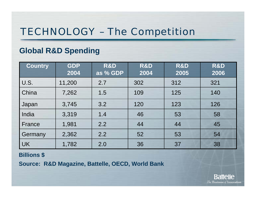## TECHNOLOGY – The Competition

### **Global R&D Spending**

| <b>Country</b> | <b>GDP</b><br>2004 | R&D<br>as % GDP | R&D<br>2004 | R&D<br>2005 | R&D<br>2006 |
|----------------|--------------------|-----------------|-------------|-------------|-------------|
| U.S.           | 11,200             | 2.7             | 302         | 312         | 321         |
| China          | 7,262              | 1.5             | 109         | 125         | 140         |
| Japan          | 3,745              | 3.2             | 120         | 123         | 126         |
| India          | 3,319              | 1.4             | 46          | 53          | 58          |
| France         | 1,981              | 2.2             | 44          | 44          | 45          |
| Germany        | 2,362              | 2.2             | 52          | 53          | 54          |
| <b>UK</b>      | 1,782              | 2.0             | 36          | 37          | 38          |

#### **Billions \$**

**Source: R&D Magazine, Battelle, OECD, World Bank**

**Battelle** The Business of Innovation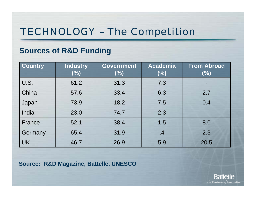## TECHNOLOGY – The Competition

### **Sources of R&D Funding**

| <b>Country</b> | <b>Industry</b><br>(%) | <b>Government</b><br>(%) | <b>Academia</b><br>(%) | <b>From Abroad</b><br>(%) |
|----------------|------------------------|--------------------------|------------------------|---------------------------|
| U.S.           | 61.2                   | 31.3                     | 7.3                    |                           |
| China          | 57.6                   | 33.4                     | 6.3                    | 2.7                       |
| Japan          | 73.9                   | 18.2                     | 7.5                    | 0.4                       |
| India          | 23.0                   | 74.7                     | 2.3                    |                           |
| France         | 52.1                   | 38.4                     | 1.5                    | 8.0                       |
| Germany        | 65.4                   | 31.9                     | .4                     | 2.3                       |
| <b>UK</b>      | 46.7                   | 26.9                     | 5.9                    | 20.5                      |

**Source: R&D Magazine, Battelle, UNESCO**

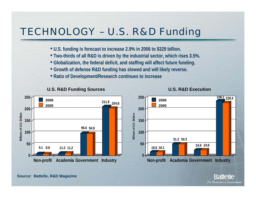## TECHNOLOGY – U.S. R&D Funding

- **U.S. funding is forecast to increase 2.9% in 2006 to \$329 billion.**
- **Two-thirds of all R&D is driven by the industrial sector, which rises 3.5%.**
- **Globalization, the federal deficit, and staffing will affect future funding.**
- **Growth of defense R&D funding has slowed and will likely reverse.**
- **Ratio of Development/Research continues to increase**







# **51.3 50.324.9 24.8 Non-profit Academia Government Industry**

**Source: Battelle, R&D Magazine**

Rattelle The Business of Innovation

**236.1 228.4**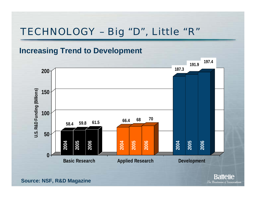## TECHNOLOGY – Big "D", Little "R"

### **Increasing Trend to Development**



**Battelle** The Business of Innovation

**Source: NSF, R&D Magazine**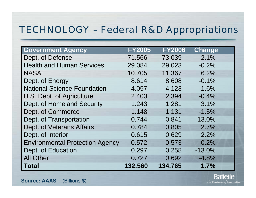### TECHNOLOGY – Federal R&D Appropriations

| <b>Government Agency</b>               | <b>FY2005</b> | <b>FY2006</b> | <b>Change</b> |
|----------------------------------------|---------------|---------------|---------------|
| Dept. of Defense                       | 71.566        | 73.039        | 2.1%          |
| <b>Health and Human Services</b>       | 29.084        | 29.023        | $-0.2%$       |
| <b>NASA</b>                            | 10.705        | 11,367        | 6.2%          |
| Dept. of Energy                        | 8.614         | 8.608         | $-0.1%$       |
| <b>National Science Foundation</b>     | 4.057         | 4.123         | 1.6%          |
| U.S. Dept. of Agriculture              | 2.403         | 2.394         | $-0.4%$       |
| Dept. of Homeland Security             | 1.243         | 1.281         | 3.1%          |
| Dept. of Commerce                      | 1.148         | 1.131         | $-1.5%$       |
| Dept. of Transportation                | 0.744         | 0.841         | 13.0%         |
| Dept. of Veterans Affairs              | 0.784         | 0.805         | 2.7%          |
| Dept. of Interior                      | 0.615         | 0.629         | 2.2%          |
| <b>Environmental Protection Agency</b> | 0.572         | 0.573         | 0.2%          |
| Dept. of Education                     | 0.297         | 0.258         | $-13.0%$      |
| <b>All Other</b>                       | 0.727         | 0.692         | $-4.8%$       |
| <b>Total</b>                           | 132.560       | 134.765       | 1.7%          |

**Source: AAAS** (Billions \$)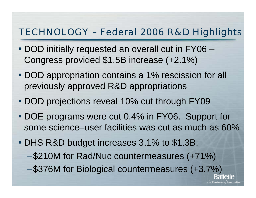### TECHNOLOGY – Federal 2006 R&D Highlights

- DOD initially requested an overall cut in FY06 Congress provided \$1.5B increase (+2.1%)
- DOD appropriation contains a 1% rescission for all previously approved R&D appropriations
- DOD projections reveal 10% cut through FY09
- DOE programs were cut 0.4% in FY06. Support for some science–user facilities was cut as much as 60%
- DHS R&D budget increases 3.1% to \$1.3B. –\$210M for Rad/Nuc countermeasures (+71%) –\$376M for Biological countermeasures (+3.7%) Rattelle

The Business of Innovation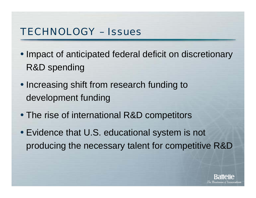## TECHNOLOGY – Issues

- Impact of anticipated federal deficit on discretionary R&D spending
- Increasing shift from research funding to development funding
- The rise of international R&D competitors
- Evidence that U.S. educational system is not producing the necessary talent for competitive R&D